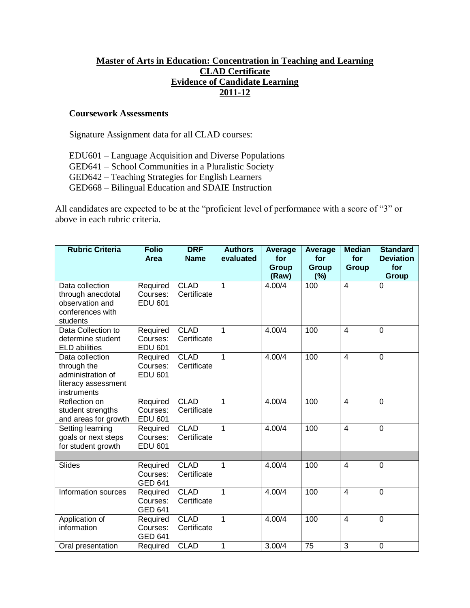# **Master of Arts in Education: Concentration in Teaching and Learning CLAD Certificate Evidence of Candidate Learning 2011-12**

#### **Coursework Assessments**

Signature Assignment data for all CLAD courses:

- EDU601 Language Acquisition and Diverse Populations
- GED641 School Communities in a Pluralistic Society
- GED642 Teaching Strategies for English Learners
- GED668 Bilingual Education and SDAIE Instruction

All candidates are expected to be at the "proficient level of performance with a score of "3" or above in each rubric criteria.

| <b>Rubric Criteria</b>                                                                    | <b>Folio</b><br><b>Area</b>            | <b>DRF</b><br><b>Name</b>  | <b>Authors</b><br>evaluated | <b>Average</b><br>for<br><b>Group</b><br>(Raw) | Average<br>for<br><b>Group</b><br>$(\% )$ | <b>Median</b><br>for<br><b>Group</b> | <b>Standard</b><br><b>Deviation</b><br>for<br><b>Group</b> |
|-------------------------------------------------------------------------------------------|----------------------------------------|----------------------------|-----------------------------|------------------------------------------------|-------------------------------------------|--------------------------------------|------------------------------------------------------------|
| Data collection<br>through anecdotal<br>observation and<br>conferences with<br>students   | Required<br>Courses:<br><b>EDU 601</b> | <b>CLAD</b><br>Certificate | $\mathbf 1$                 | 4.00/4                                         | 100                                       | $\overline{\mathbf{4}}$              | $\overline{0}$                                             |
| Data Collection to<br>determine student<br><b>ELD</b> abilities                           | Required<br>Courses:<br><b>EDU 601</b> | <b>CLAD</b><br>Certificate | 1                           | 4.00/4                                         | 100                                       | $\overline{4}$                       | $\Omega$                                                   |
| Data collection<br>through the<br>administration of<br>literacy assessment<br>instruments | Required<br>Courses:<br><b>EDU 601</b> | <b>CLAD</b><br>Certificate | $\overline{1}$              | 4.00/4                                         | 100                                       | $\overline{4}$                       | 0                                                          |
| Reflection on<br>student strengths<br>and areas for growth                                | Required<br>Courses:<br><b>EDU 601</b> | <b>CLAD</b><br>Certificate | $\mathbf 1$                 | 4.00/4                                         | 100                                       | $\overline{4}$                       | $\overline{0}$                                             |
| Setting learning<br>goals or next steps<br>for student growth                             | Required<br>Courses:<br><b>EDU 601</b> | <b>CLAD</b><br>Certificate | $\mathbf{1}$                | 4.00/4                                         | 100                                       | $\overline{4}$                       | $\Omega$                                                   |
| <b>Slides</b>                                                                             | Required<br>Courses:<br><b>GED 641</b> | <b>CLAD</b><br>Certificate | $\mathbf 1$                 | 4.00/4                                         | 100                                       | $\overline{4}$                       | $\mathbf 0$                                                |
| Information sources                                                                       | Required<br>Courses:<br><b>GED 641</b> | <b>CLAD</b><br>Certificate | $\overline{1}$              | 4.00/4                                         | 100                                       | $\overline{4}$                       | 0                                                          |
| Application of<br>information                                                             | Required<br>Courses:<br><b>GED 641</b> | <b>CLAD</b><br>Certificate | $\mathbf{1}$                | 4.00/4                                         | 100                                       | $\overline{4}$                       | $\overline{0}$                                             |
| Oral presentation                                                                         | Required                               | <b>CLAD</b>                | 1                           | 3.00/4                                         | $\overline{75}$                           | 3                                    | 0                                                          |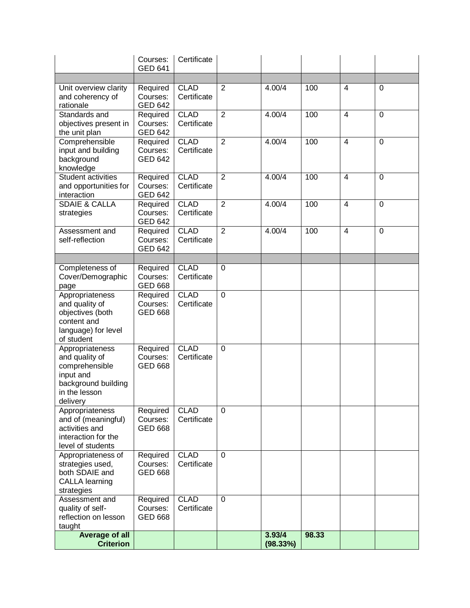|                                                                                                                      | Courses:<br><b>GED 641</b>             | Certificate                |                |                    |       |                         |                |
|----------------------------------------------------------------------------------------------------------------------|----------------------------------------|----------------------------|----------------|--------------------|-------|-------------------------|----------------|
|                                                                                                                      |                                        |                            |                |                    |       |                         |                |
| Unit overview clarity<br>and coherency of<br>rationale                                                               | Required<br>Courses:<br><b>GED 642</b> | <b>CLAD</b><br>Certificate | 2              | 4.00/4             | 100   | $\overline{4}$          | $\mathbf 0$    |
| Standards and<br>objectives present in<br>the unit plan                                                              | Required<br>Courses:<br><b>GED 642</b> | <b>CLAD</b><br>Certificate | $\overline{2}$ | 4.00/4             | 100   | $\overline{\mathbf{4}}$ | $\mathbf 0$    |
| Comprehensible<br>input and building<br>background<br>knowledge                                                      | Required<br>Courses:<br><b>GED 642</b> | <b>CLAD</b><br>Certificate | $\overline{2}$ | 4.00/4             | 100   | $\overline{4}$          | $\overline{0}$ |
| Student activities<br>and opportunities for<br>interaction                                                           | Required<br>Courses:<br><b>GED 642</b> | <b>CLAD</b><br>Certificate | $\overline{2}$ | 4.00/4             | 100   | $\overline{4}$          | $\overline{0}$ |
| <b>SDAIE &amp; CALLA</b><br>strategies                                                                               | Required<br>Courses:<br><b>GED 642</b> | <b>CLAD</b><br>Certificate | $\overline{2}$ | 4.00/4             | 100   | $\overline{4}$          | $\overline{0}$ |
| Assessment and<br>self-reflection                                                                                    | Required<br>Courses:<br><b>GED 642</b> | <b>CLAD</b><br>Certificate | $\overline{2}$ | 4.00/4             | 100   | $\overline{4}$          | $\mathbf 0$    |
|                                                                                                                      |                                        |                            |                |                    |       |                         |                |
| Completeness of<br>Cover/Demographic<br>page                                                                         | Required<br>Courses:<br><b>GED 668</b> | <b>CLAD</b><br>Certificate | $\mathbf 0$    |                    |       |                         |                |
| Appropriateness<br>and quality of<br>objectives (both<br>content and<br>language) for level<br>of student            | Required<br>Courses:<br><b>GED 668</b> | <b>CLAD</b><br>Certificate | $\mathbf 0$    |                    |       |                         |                |
| Appropriateness<br>and quality of<br>comprehensible<br>input and<br>background building<br>in the lesson<br>delivery | Required<br>Courses:<br><b>GED 668</b> | <b>CLAD</b><br>Certificate | $\Omega$       |                    |       |                         |                |
| Appropriateness<br>and of (meaningful)<br>activities and<br>interaction for the<br>level of students                 | Required<br>Courses:<br><b>GED 668</b> | <b>CLAD</b><br>Certificate | $\Omega$       |                    |       |                         |                |
| Appropriateness of<br>strategies used,<br>both SDAIE and<br><b>CALLA learning</b><br>strategies                      | Required<br>Courses:<br><b>GED 668</b> | <b>CLAD</b><br>Certificate | $\mathbf 0$    |                    |       |                         |                |
| Assessment and<br>quality of self-<br>reflection on lesson<br>taught                                                 | Required<br>Courses:<br><b>GED 668</b> | <b>CLAD</b><br>Certificate | $\overline{0}$ |                    |       |                         |                |
| <b>Average of all</b><br><b>Criterion</b>                                                                            |                                        |                            |                | 3.93/4<br>(98.33%) | 98.33 |                         |                |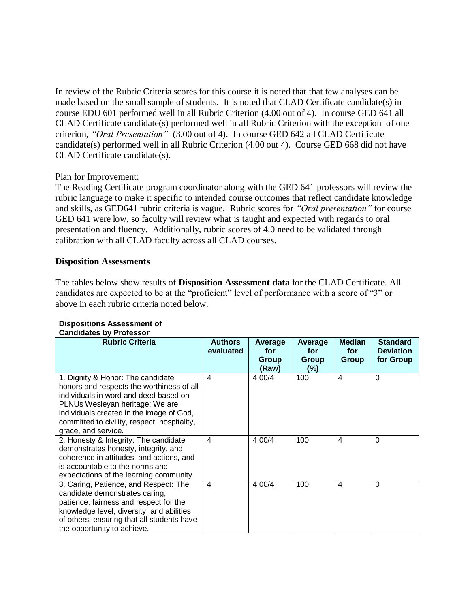In review of the Rubric Criteria scores for this course it is noted that that few analyses can be made based on the small sample of students. It is noted that CLAD Certificate candidate(s) in course EDU 601 performed well in all Rubric Criterion (4.00 out of 4). In course GED 641 all CLAD Certificate candidate(s) performed well in all Rubric Criterion with the exception of one criterion, *"Oral Presentation"* (3.00 out of 4).In course GED 642 all CLAD Certificate candidate(s) performed well in all Rubric Criterion (4.00 out 4). Course GED 668 did not have CLAD Certificate candidate(s).

## Plan for Improvement:

The Reading Certificate program coordinator along with the GED 641 professors will review the rubric language to make it specific to intended course outcomes that reflect candidate knowledge and skills, as GED641 rubric criteria is vague. Rubric scores for *"Oral presentation"* for course GED 641 were low, so faculty will review what is taught and expected with regards to oral presentation and fluency. Additionally, rubric scores of 4.0 need to be validated through calibration with all CLAD faculty across all CLAD courses.

### **Disposition Assessments**

The tables below show results of **Disposition Assessment data** for the CLAD Certificate. All candidates are expected to be at the "proficient" level of performance with a score of "3" or above in each rubric criteria noted below.

| <b>Rubric Criteria</b>                                                                                                                                                                                                                                                        | <b>Authors</b><br>evaluated | Average<br>for<br>Group<br>(Raw) | Average<br>for<br>Group<br>(%) | <b>Median</b><br>for<br>Group | <b>Standard</b><br><b>Deviation</b><br>for Group |
|-------------------------------------------------------------------------------------------------------------------------------------------------------------------------------------------------------------------------------------------------------------------------------|-----------------------------|----------------------------------|--------------------------------|-------------------------------|--------------------------------------------------|
| 1. Dignity & Honor: The candidate<br>honors and respects the worthiness of all<br>individuals in word and deed based on<br>PLNUs Wesleyan heritage: We are<br>individuals created in the image of God,<br>committed to civility, respect, hospitality,<br>grace, and service. | 4                           | 4.00/4                           | 100                            | 4                             | $\Omega$                                         |
| 2. Honesty & Integrity: The candidate<br>demonstrates honesty, integrity, and<br>coherence in attitudes, and actions, and<br>is accountable to the norms and<br>expectations of the learning community.                                                                       | 4                           | 4.00/4                           | 100                            | $\overline{\mathcal{A}}$      | $\Omega$                                         |
| 3. Caring, Patience, and Respect: The<br>candidate demonstrates caring,<br>patience, fairness and respect for the<br>knowledge level, diversity, and abilities<br>of others, ensuring that all students have<br>the opportunity to achieve.                                   | $\overline{4}$              | 4.00/4                           | 100                            | $\overline{\mathcal{A}}$      | $\Omega$                                         |

#### **Dispositions Assessment of Candidates by Professor**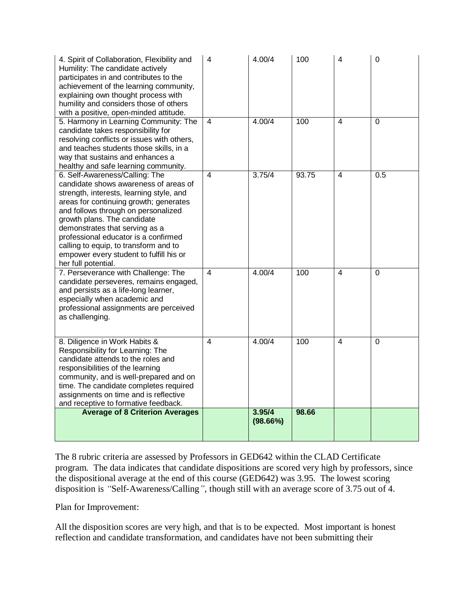| 4. Spirit of Collaboration, Flexibility and<br>Humility: The candidate actively<br>participates in and contributes to the<br>achievement of the learning community,<br>explaining own thought process with<br>humility and considers those of others<br>with a positive, open-minded attitude.                                                                                                                           | 4                       | 4.00/4             | 100   | $\overline{4}$ | $\mathbf 0$    |
|--------------------------------------------------------------------------------------------------------------------------------------------------------------------------------------------------------------------------------------------------------------------------------------------------------------------------------------------------------------------------------------------------------------------------|-------------------------|--------------------|-------|----------------|----------------|
| 5. Harmony in Learning Community: The<br>candidate takes responsibility for<br>resolving conflicts or issues with others,<br>and teaches students those skills, in a<br>way that sustains and enhances a<br>healthy and safe learning community.                                                                                                                                                                         | 4                       | 4.00/4             | 100   | 4              | $\Omega$       |
| 6. Self-Awareness/Calling: The<br>candidate shows awareness of areas of<br>strength, interests, learning style, and<br>areas for continuing growth; generates<br>and follows through on personalized<br>growth plans. The candidate<br>demonstrates that serving as a<br>professional educator is a confirmed<br>calling to equip, to transform and to<br>empower every student to fulfill his or<br>her full potential. | $\overline{\mathbf{A}}$ | 3.75/4             | 93.75 | 4              | 0.5            |
| 7. Perseverance with Challenge: The<br>candidate perseveres, remains engaged,<br>and persists as a life-long learner,<br>especially when academic and<br>professional assignments are perceived<br>as challenging.                                                                                                                                                                                                       | $\overline{4}$          | 4.00/4             | 100   | $\overline{4}$ | $\overline{0}$ |
| 8. Diligence in Work Habits &<br>Responsibility for Learning: The<br>candidate attends to the roles and<br>responsibilities of the learning<br>community, and is well-prepared and on<br>time. The candidate completes required<br>assignments on time and is reflective<br>and receptive to formative feedback.                                                                                                         | 4                       | 4.00/4             | 100   | $\overline{4}$ | $\mathbf 0$    |
| <b>Average of 8 Criterion Averages</b>                                                                                                                                                                                                                                                                                                                                                                                   |                         | 3.95/4<br>(98.66%) | 98.66 |                |                |

The 8 rubric criteria are assessed by Professors in GED642 within the CLAD Certificate program. The data indicates that candidate dispositions are scored very high by professors, since the dispositional average at the end of this course (GED642) was 3.95. The lowest scoring disposition is *"*Self-Awareness/Calling*"*, though still with an average score of 3.75 out of 4.

Plan for Improvement:

All the disposition scores are very high, and that is to be expected. Most important is honest reflection and candidate transformation, and candidates have not been submitting their